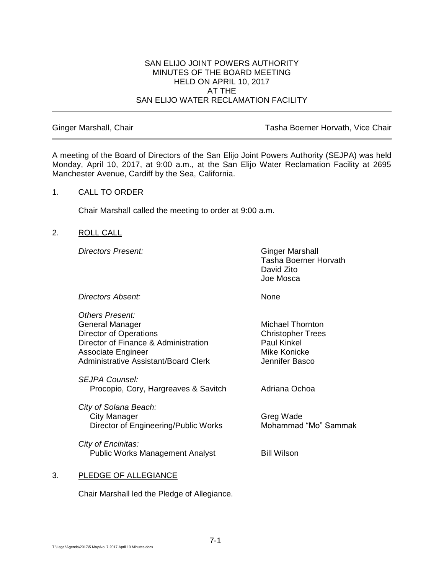#### SAN ELIJO JOINT POWERS AUTHORITY MINUTES OF THE BOARD MEETING HELD ON APRIL 10, 2017 AT THE SAN ELIJO WATER RECLAMATION FACILITY

Ginger Marshall, Chair **Tasha Boerner Horvath, Vice Chair** Tasha Boerner Horvath, Vice Chair

A meeting of the Board of Directors of the San Elijo Joint Powers Authority (SEJPA) was held Monday, April 10, 2017, at 9:00 a.m., at the San Elijo Water Reclamation Facility at 2695 Manchester Avenue, Cardiff by the Sea, California.

## 1. CALL TO ORDER

Chair Marshall called the meeting to order at 9:00 a.m.

# 2. ROLL CALL

**Directors Present:** Ginger Marshall

Tasha Boerner Horvath David Zito Joe Mosca

**Directors Absent:** None

| Others Present:<br>General Manager<br><b>Director of Operations</b><br>Director of Finance & Administration<br>Associate Engineer<br>Administrative Assistant/Board Clerk | <b>Michael Thornton</b><br><b>Christopher Trees</b><br>Paul Kinkel<br>Mike Konicke<br>Jennifer Basco |
|---------------------------------------------------------------------------------------------------------------------------------------------------------------------------|------------------------------------------------------------------------------------------------------|
| <i>SEJPA Counsel:</i><br>Procopio, Cory, Hargreaves & Savitch                                                                                                             | Adriana Ochoa                                                                                        |
| City of Solana Beach:<br>City Manager<br>Director of Engineering/Public Works                                                                                             | Greg Wade<br>Mohammad "Mo" Sammak                                                                    |
| City of Encinitas:<br><b>Public Works Management Analyst</b>                                                                                                              | <b>Bill Wilson</b>                                                                                   |
|                                                                                                                                                                           |                                                                                                      |

# 3. PLEDGE OF ALLEGIANCE

Chair Marshall led the Pledge of Allegiance.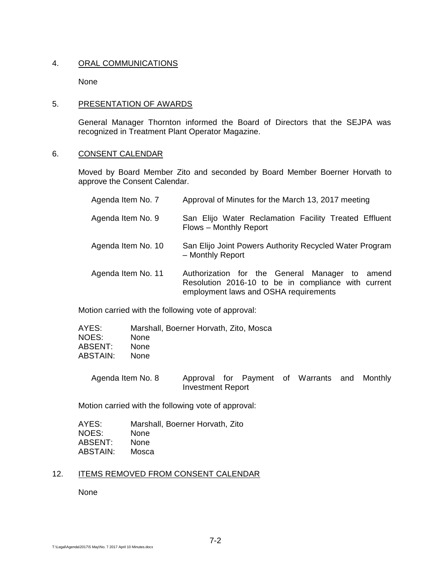## 4. ORAL COMMUNICATIONS

None

## 5. PRESENTATION OF AWARDS

General Manager Thornton informed the Board of Directors that the SEJPA was recognized in Treatment Plant Operator Magazine.

### 6. CONSENT CALENDAR

Moved by Board Member Zito and seconded by Board Member Boerner Horvath to approve the Consent Calendar.

| Agenda Item No. 7  | Approval of Minutes for the March 13, 2017 meeting                                                                                             |
|--------------------|------------------------------------------------------------------------------------------------------------------------------------------------|
| Agenda Item No. 9  | San Elijo Water Reclamation Facility Treated Effluent<br>Flows - Monthly Report                                                                |
| Agenda Item No. 10 | San Elijo Joint Powers Authority Recycled Water Program<br>- Monthly Report                                                                    |
| Agenda Item No. 11 | Authorization for the General Manager to amend<br>Resolution 2016-10 to be in compliance with current<br>employment laws and OSHA requirements |

Motion carried with the following vote of approval:

| AYES:    | Marshall, Boerner Horvath, Zito, Mosca |
|----------|----------------------------------------|
| NOES:    | <b>None</b>                            |
| ABSENT:  | <b>None</b>                            |
| ABSTAIN: | <b>None</b>                            |

Agenda Item No. 8 Approval for Payment of Warrants and Monthly Investment Report

Motion carried with the following vote of approval:

| AYES:    | Marshall, Boerner Horvath, Zito |
|----------|---------------------------------|
| NOES:    | None                            |
| ABSENT:  | <b>None</b>                     |
| ABSTAIN: | Mosca                           |

### 12. ITEMS REMOVED FROM CONSENT CALENDAR

None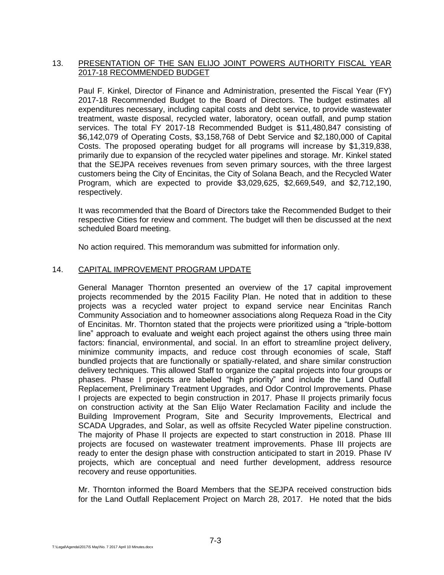## 13. PRESENTATION OF THE SAN ELIJO JOINT POWERS AUTHORITY FISCAL YEAR 2017-18 RECOMMENDED BUDGET

Paul F. Kinkel, Director of Finance and Administration, presented the Fiscal Year (FY) 2017-18 Recommended Budget to the Board of Directors. The budget estimates all expenditures necessary, including capital costs and debt service, to provide wastewater treatment, waste disposal, recycled water, laboratory, ocean outfall, and pump station services. The total FY 2017-18 Recommended Budget is \$11,480,847 consisting of \$6,142,079 of Operating Costs, \$3,158,768 of Debt Service and \$2,180,000 of Capital Costs. The proposed operating budget for all programs will increase by \$1,319,838, primarily due to expansion of the recycled water pipelines and storage. Mr. Kinkel stated that the SEJPA receives revenues from seven primary sources, with the three largest customers being the City of Encinitas, the City of Solana Beach, and the Recycled Water Program, which are expected to provide \$3,029,625, \$2,669,549, and \$2,712,190, respectively.

It was recommended that the Board of Directors take the Recommended Budget to their respective Cities for review and comment. The budget will then be discussed at the next scheduled Board meeting.

No action required. This memorandum was submitted for information only.

# 14. CAPITAL IMPROVEMENT PROGRAM UPDATE

General Manager Thornton presented an overview of the 17 capital improvement projects recommended by the 2015 Facility Plan. He noted that in addition to these projects was a recycled water project to expand service near Encinitas Ranch Community Association and to homeowner associations along Requeza Road in the City of Encinitas. Mr. Thornton stated that the projects were prioritized using a "triple-bottom line" approach to evaluate and weight each project against the others using three main factors: financial, environmental, and social. In an effort to streamline project delivery, minimize community impacts, and reduce cost through economies of scale, Staff bundled projects that are functionally or spatially-related, and share similar construction delivery techniques. This allowed Staff to organize the capital projects into four groups or phases. Phase I projects are labeled "high priority" and include the Land Outfall Replacement, Preliminary Treatment Upgrades, and Odor Control Improvements. Phase I projects are expected to begin construction in 2017. Phase II projects primarily focus on construction activity at the San Elijo Water Reclamation Facility and include the Building Improvement Program, Site and Security Improvements, Electrical and SCADA Upgrades, and Solar, as well as offsite Recycled Water pipeline construction. The majority of Phase II projects are expected to start construction in 2018. Phase III projects are focused on wastewater treatment improvements. Phase III projects are ready to enter the design phase with construction anticipated to start in 2019. Phase IV projects, which are conceptual and need further development, address resource recovery and reuse opportunities.

Mr. Thornton informed the Board Members that the SEJPA received construction bids for the Land Outfall Replacement Project on March 28, 2017. He noted that the bids